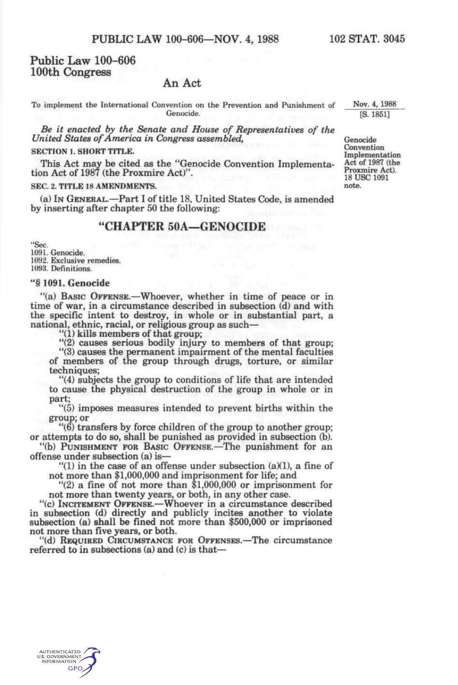# **Public Law 100-606 100th Congress**

### **An Act**

To implement the International Convention on the Prevention and Punishment of Genocide.

*Be it enacted by the Senate and House of Representatives of the United States of America in Congress assembled,* 

#### **SECTION 1. SHORT TITLE.**

This Act may be cited as the "Genocide Convention Implementation Act of 1987 (the Proxmire Act)".

#### SEC. 2. **TITLE 18 AMENDMENTS.**

(a) IN GENERAL.—Part I of title 18, United States Code, is amended by inserting after chapter 50 the following:

# **"CHAPTER 50A—GENOCIDE**

"Sec 1091. Genocide. 1092. Exclusive remedies. 1093. Definitions.

#### "§ 1091. Genocide

"(a) BASIC OFFENSE.—Whoever, whether in time of peace or in time of war, in a circumstance described in subsection (d) and with the specific intent to destroy, in whole or in substantial part, a national, ethnic, racial, or religious group as such—

"(1) kills members of that group;

"(2) causes serious bodily injury to members of that group;

"(3) causes the permanent impairment of the mental faculties of members of the group through drugs, torture, or similar techniques;

"(4) subjects the group to conditions of life that are intended to cause the physical destruction of the group in whole or in part;

"(5) imposes measures intended to prevent births within the group; or

"(6) transfers by force children of the group to another group; or attempts to do so, shall be punished as provided in subsection (b).

"(b) PUNISHMENT FOR BASIC OFFENSE.—The punishment for an offense under subsection (a) is—

"(1) in the case of an offense under subsection (a)(1), a fine of not more than \$1,000,000 and imprisonment for life; and

"(2) a fine of not more than \$1,000,000 or imprisonment for not more than twenty years, or both, in any other case.

"(c) INCITEMENT OFFENSE.—Whoever in a circumstance described in subsection (d) directly and publicly incites another to violate subsection (a) shall be fined not more than \$500,000 or imprisoned not more than five years, or both.

"(d) REQUIRED CIRCUMSTANCE FOR OFFENSES.—The circumstance referred to in subsections (a) and (c) is thatNov. 4, 1988 [S. 1851]

Genocide Convention Implementation Act of 1987 (the Proxmire Act). 18 USC 1091 note.

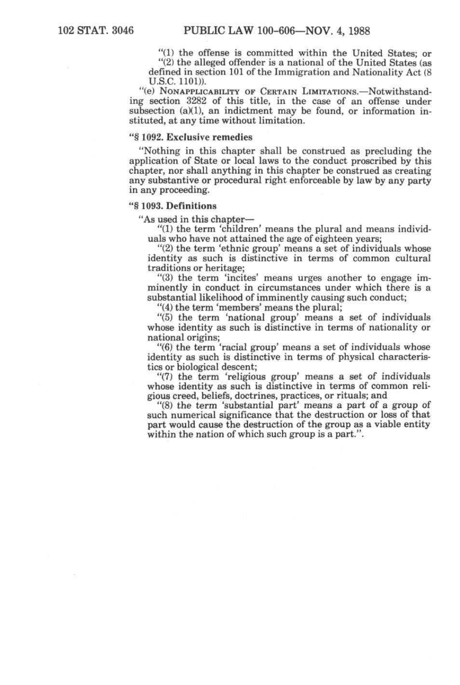"(1) the offense is committed within the United States; or

"(2) the alleged offender is a national of the United States (as defined in section 101 of the Immigration and Nationality Act (8 U.S.C. 1101)).

"(e) NoNAPPLiCABiLiTY OF CERTAIN LIMITATIONS.—Notwithstanding section 3282 of this title, in the case of an offense under subsection  $(a)(1)$ , an indictment may be found, or information instituted, at any time without limitation.

#### "§ 1092. Exclusive remedies

"Nothing in this chapter shall be construed as precluding the application of State or local laws to the conduct proscribed by this chapter, nor shall anything in this chapter be construed as creating any substantive or procedural right enforceable by law by any party in any proceeding.

#### "§ 1093. Definitions

"As used in this chapter—

"(1) the term 'children' means the plural and means individuals who have not attained the age of eighteen years;

"(2) the term 'ethnic group' means a set of individuals whose identity as such is distinctive in terms of common cultural traditions or heritage;

"(3) the term 'incites' means urges another to engage imminently in conduct in circumstances under which there is a substantial likelihood of imminently causing such conduct;

"(4) the term 'members' means the plural;

"(5) the term 'national group' means a set of individuals whose identity as such is distinctive in terms of nationality or national origins;

"(6) the term 'racial group' means a set of individuals whose identity as such is distinctive in terms of physical characteristics or biological descent;

"(7) the term 'religious group' means a set of individuals whose identity as such is distinctive in terms of common religious creed, beliefs, doctrines, practices, or rituals; and

"(8) the term 'substantial part' means a part of a group of such numerical significance that the destruction or loss of that part would cause the destruction of the group as a viable entity within the nation of which such group is a part.".